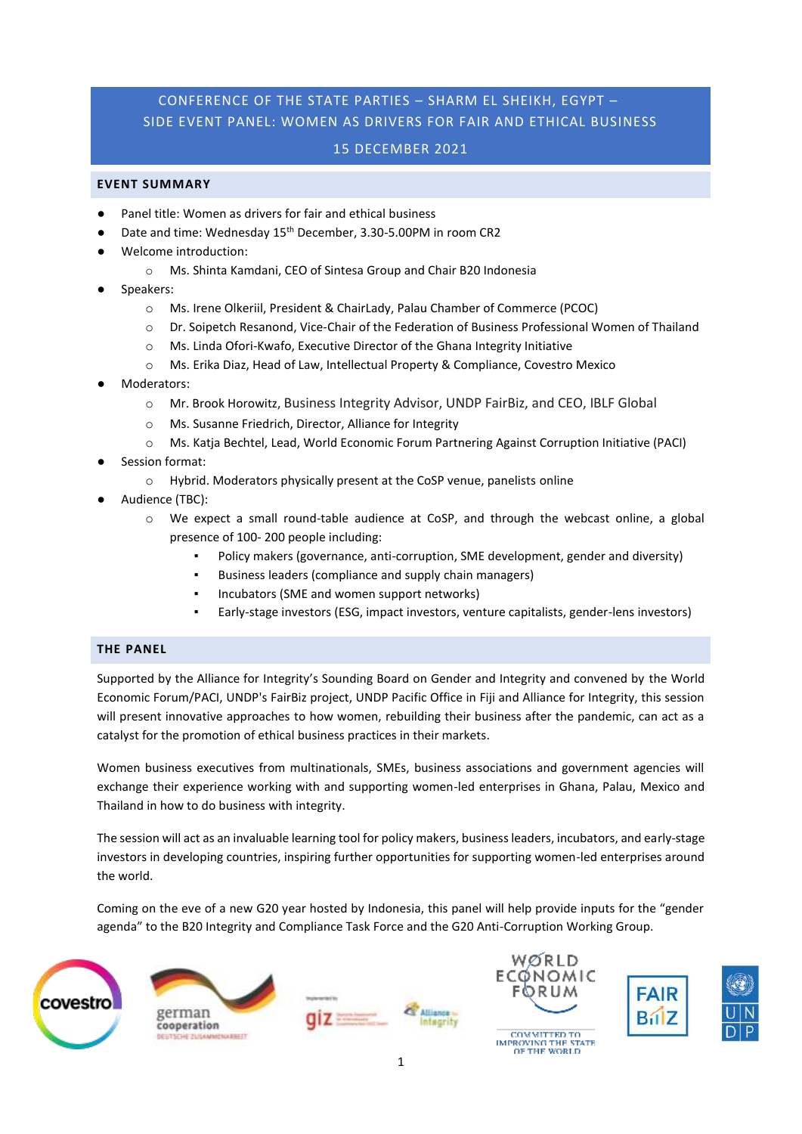# CONFERENCE OF THE STATE PARTIES – SHARM EL SHEIKH, EGYPT – SIDE EVENT PANEL: WOMEN AS DRIVERS FOR FAIR AND ETHICAL BUSINESS

## 15 DECEMBER 2021

### **EVENT SUMMARY**

- Panel title: Women as drivers for fair and ethical business
	- Date and time: Wednesday 15<sup>th</sup> December, 3.30-5.00PM in room CR2
- Welcome introduction:
	- o Ms. Shinta Kamdani, CEO of Sintesa Group and Chair B20 Indonesia
- Speakers:
	- o Ms. Irene Olkeriil, President & ChairLady, Palau Chamber of Commerce (PCOC)
	- o Dr. Soipetch Resanond, Vice-Chair of the Federation of Business Professional Women of Thailand
	- o Ms. Linda Ofori-Kwafo, Executive Director of the Ghana Integrity Initiative
	- o Ms. Erika Diaz, Head of Law, Intellectual Property & Compliance, Covestro Mexico
- Moderators:
	- o Mr. Brook Horowitz, Business Integrity Advisor, UNDP FairBiz, and CEO, IBLF Global
	- o Ms. Susanne Friedrich, Director, Alliance for Integrity
	- o Ms. Katja Bechtel, Lead, World Economic Forum Partnering Against Corruption Initiative (PACI)
- Session format:
	- o Hybrid. Moderators physically present at the CoSP venue, panelists online
- Audience (TBC):
	- o We expect a small round-table audience at CoSP, and through the webcast online, a global presence of 100- 200 people including:
		- Policy makers (governance, anti-corruption, SME development, gender and diversity)
		- Business leaders (compliance and supply chain managers)
		- Incubators (SME and women support networks)
		- Early-stage investors (ESG, impact investors, venture capitalists, gender-lens investors)

### **THE PANEL**

Supported by the Alliance for Integrity's Sounding Board on Gender and Integrity and convened by the World Economic Forum/PACI, UNDP's FairBiz project, UNDP Pacific Office in Fiji and Alliance for Integrity, this session will present innovative approaches to how women, rebuilding their business after the pandemic, can act as a catalyst for the promotion of ethical business practices in their markets.

Women business executives from multinationals, SMEs, business associations and government agencies will exchange their experience working with and supporting women-led enterprises in Ghana, Palau, Mexico and Thailand in how to do business with integrity.

The session will act as an invaluable learning tool for policy makers, business leaders, incubators, and early-stage investors in developing countries, inspiring further opportunities for supporting women-led enterprises around the world.

Coming on the eve of a new G20 year hosted by Indonesia, this panel will help provide inputs for the "gender agenda" to the B20 Integrity and Compliance Task Force and the G20 Anti-Corruption Working Group.